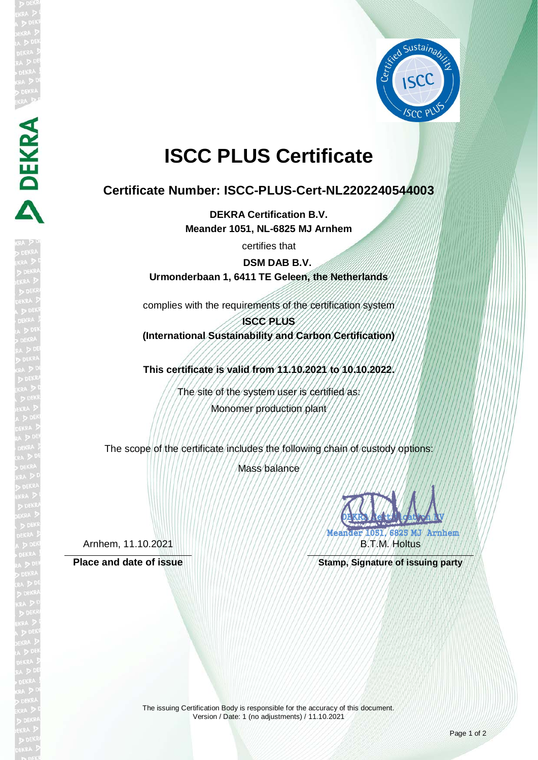

# **ISCC PLUS Certificate**

## **Certificate Number: ISCC-PLUS-Cert-NL2202240544003**

**DEKRA Certification B.V. Meander 1051, NL-6825 MJ Arnhem**

certifies that

**DSM DAB B.V. Urmonderbaan 1, 6411 TE Geleen, the Netherlands**

complies with the requirements of the certification system

**ISCC PLUS (International Sustainability and Carbon Certification)**

**This certificate is valid from 11.10.2021 to 10.10.2022.**

The site of the system user is certified as: Monomer production plant

The scope of the certificate includes the following chain of custody options:

Mass balance

Arnhem, 11.10.2021

DEKRA

DEKRA REAL GERMANY Meander 1051, 6825 MJ Arnhem FRANK B.T.M. Holtus

Place and date of issue **Stamp, Stamp, Signature of issuing party**